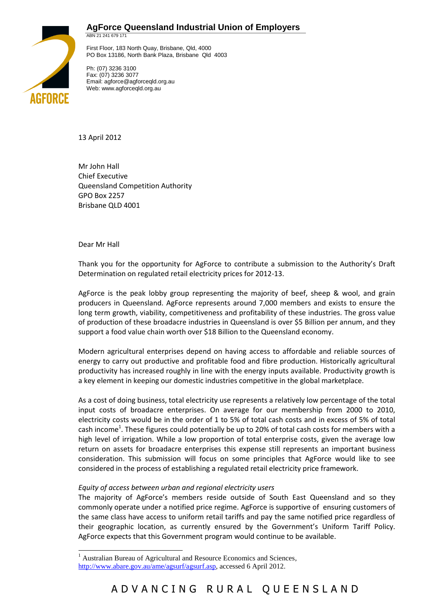



First Floor, 183 North Quay, Brisbane, Qld, 4000 PO Box 13186, North Bank Plaza, Brisbane Qld 4003

Ph: (07) 3236 3100 Fax: (07) 3236 3077 Email: agforce@agforceqld.org.au Web: www.agforceqld.org.au

13 April 2012

Mr John Hall Chief Executive Queensland Competition Authority GPO Box 2257 Brisbane QLD 4001

Dear Mr Hall

-

Thank you for the opportunity for AgForce to contribute a submission to the Authority's Draft Determination on regulated retail electricity prices for 2012-13.

AgForce is the peak lobby group representing the majority of beef, sheep & wool, and grain producers in Queensland. AgForce represents around 7,000 members and exists to ensure the long term growth, viability, competitiveness and profitability of these industries. The gross value of production of these broadacre industries in Queensland is over \$5 Billion per annum, and they support a food value chain worth over \$18 Billion to the Queensland economy.

Modern agricultural enterprises depend on having access to affordable and reliable sources of energy to carry out productive and profitable food and fibre production. Historically agricultural productivity has increased roughly in line with the energy inputs available. Productivity growth is a key element in keeping our domestic industries competitive in the global marketplace.

As a cost of doing business, total electricity use represents a relatively low percentage of the total input costs of broadacre enterprises. On average for our membership from 2000 to 2010, electricity costs would be in the order of 1 to 5% of total cash costs and in excess of 5% of total cash income<sup>1</sup>. These figures could potentially be up to 20% of total cash costs for members with a high level of irrigation. While a low proportion of total enterprise costs, given the average low return on assets for broadacre enterprises this expense still represents an important business consideration. This submission will focus on some principles that AgForce would like to see considered in the process of establishing a regulated retail electricity price framework.

# *Equity of access between urban and regional electricity users*

The majority of AgForce's members reside outside of South East Queensland and so they commonly operate under a notified price regime. AgForce is supportive of ensuring customers of the same class have access to uniform retail tariffs and pay the same notified price regardless of their geographic location, as currently ensured by the Government's Uniform Tariff Policy. AgForce expects that this Government program would continue to be available.

<sup>1</sup> Australian Bureau of Agricultural and Resource Economics and Sciences, [http://www.abare.gov.au/ame/agsurf/agsurf.asp,](http://www.abare.gov.au/ame/agsurf/agsurf.asp) accessed 6 April 2012.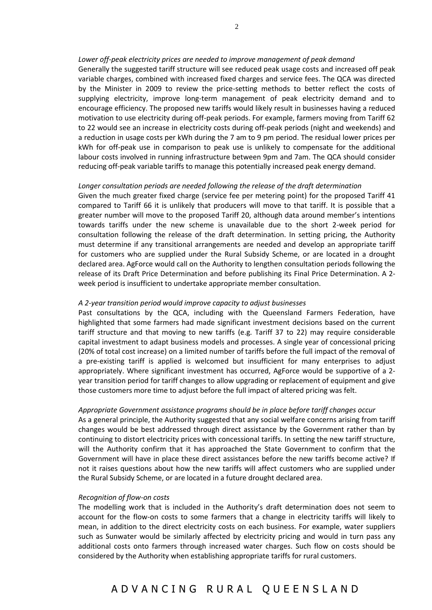## *Lower off-peak electricity prices are needed to improve management of peak demand*

Generally the suggested tariff structure will see reduced peak usage costs and increased off peak variable charges, combined with increased fixed charges and service fees. The QCA was directed by the Minister in 2009 to review the price-setting methods to better reflect the costs of supplying electricity, improve long-term management of peak electricity demand and to encourage efficiency. The proposed new tariffs would likely result in businesses having a reduced motivation to use electricity during off-peak periods. For example, farmers moving from Tariff 62 to 22 would see an increase in electricity costs during off-peak periods (night and weekends) and a reduction in usage costs per kWh during the 7 am to 9 pm period. The residual lower prices per kWh for off-peak use in comparison to peak use is unlikely to compensate for the additional labour costs involved in running infrastructure between 9pm and 7am. The QCA should consider reducing off-peak variable tariffs to manage this potentially increased peak energy demand.

### *Longer consultation periods are needed following the release of the draft determination*

Given the much greater fixed charge (service fee per metering point) for the proposed Tariff 41 compared to Tariff 66 it is unlikely that producers will move to that tariff. It is possible that a greater number will move to the proposed Tariff 20, although data around member's intentions towards tariffs under the new scheme is unavailable due to the short 2-week period for consultation following the release of the draft determination. In setting pricing, the Authority must determine if any transitional arrangements are needed and develop an appropriate tariff for customers who are supplied under the Rural Subsidy Scheme, or are located in a drought declared area. AgForce would call on the Authority to lengthen consultation periods following the release of its Draft Price Determination and before publishing its Final Price Determination. A 2 week period is insufficient to undertake appropriate member consultation.

### *A 2-year transition period would improve capacity to adjust businesses*

Past consultations by the QCA, including with the Queensland Farmers Federation, have highlighted that some farmers had made significant investment decisions based on the current tariff structure and that moving to new tariffs (e.g. Tariff 37 to 22) may require considerable capital investment to adapt business models and processes. A single year of concessional pricing (20% of total cost increase) on a limited number of tariffs before the full impact of the removal of a pre-existing tariff is applied is welcomed but insufficient for many enterprises to adjust appropriately. Where significant investment has occurred, AgForce would be supportive of a 2 year transition period for tariff changes to allow upgrading or replacement of equipment and give those customers more time to adjust before the full impact of altered pricing was felt.

#### *Appropriate Government assistance programs should be in place before tariff changes occur*

As a general principle, the Authority suggested that any social welfare concerns arising from tariff changes would be best addressed through direct assistance by the Government rather than by continuing to distort electricity prices with concessional tariffs. In setting the new tariff structure, will the Authority confirm that it has approached the State Government to confirm that the Government will have in place these direct assistances before the new tariffs become active? If not it raises questions about how the new tariffs will affect customers who are supplied under the Rural Subsidy Scheme, or are located in a future drought declared area.

### *Recognition of flow-on costs*

The modelling work that is included in the Authority's draft determination does not seem to account for the flow-on costs to some farmers that a change in electricity tariffs will likely to mean, in addition to the direct electricity costs on each business. For example, water suppliers such as Sunwater would be similarly affected by electricity pricing and would in turn pass any additional costs onto farmers through increased water charges. Such flow on costs should be considered by the Authority when establishing appropriate tariffs for rural customers.

# A D V A N C I N G R U R A L Q U E E N S L A N D